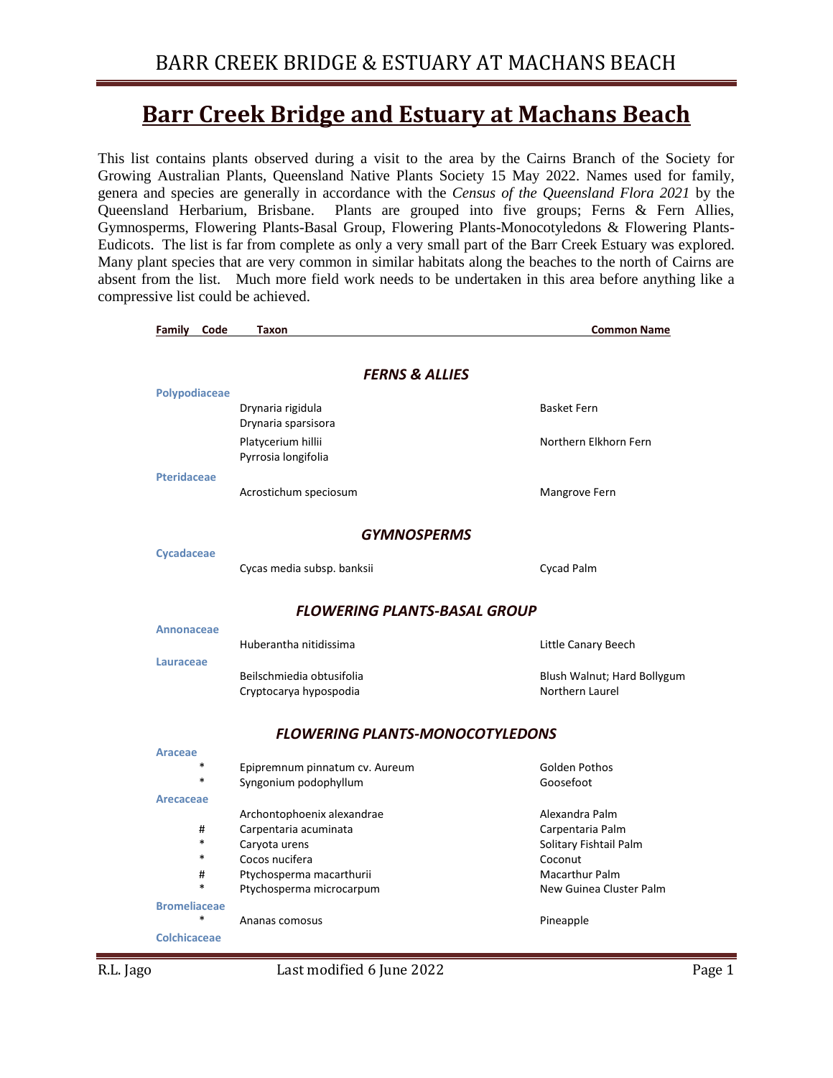#### **Barr Creek Bridge and Estuary at Machans Beach**

This list contains plants observed during a visit to the area by the Cairns Branch of the Society for Growing Australian Plants, Queensland Native Plants Society 15 May 2022. Names used for family, genera and species are generally in accordance with the *Census of the Queensland Flora 2021* by the Queensland Herbarium, Brisbane. Plants are grouped into five groups; Ferns & Fern Allies, Gymnosperms, Flowering Plants-Basal Group, Flowering Plants-Monocotyledons & Flowering Plants-Eudicots. The list is far from complete as only a very small part of the Barr Creek Estuary was explored. Many plant species that are very common in similar habitats along the beaches to the north of Cairns are absent from the list. Much more field work needs to be undertaken in this area before anything like a compressive list could be achieved.

| Family<br>Code            | Taxon                                  | <b>Common Name</b>          |  |  |  |
|---------------------------|----------------------------------------|-----------------------------|--|--|--|
|                           |                                        |                             |  |  |  |
| <b>FERNS &amp; ALLIES</b> |                                        |                             |  |  |  |
| Polypodiaceae             |                                        |                             |  |  |  |
|                           | Drynaria rigidula                      | <b>Basket Fern</b>          |  |  |  |
|                           | Drynaria sparsisora                    |                             |  |  |  |
|                           | Platycerium hillii                     | Northern Elkhorn Fern       |  |  |  |
|                           | Pyrrosia longifolia                    |                             |  |  |  |
| <b>Pteridaceae</b>        |                                        |                             |  |  |  |
|                           | Acrostichum speciosum                  | Mangrove Fern               |  |  |  |
|                           | <b>GYMNOSPERMS</b>                     |                             |  |  |  |
| <b>Cycadaceae</b>         |                                        |                             |  |  |  |
|                           | Cycas media subsp. banksii             | Cycad Palm                  |  |  |  |
|                           |                                        |                             |  |  |  |
|                           | <b>FLOWERING PLANTS-BASAL GROUP</b>    |                             |  |  |  |
| <b>Annonaceae</b>         |                                        |                             |  |  |  |
|                           | Huberantha nitidissima                 | Little Canary Beech         |  |  |  |
| <b>Lauraceae</b>          |                                        |                             |  |  |  |
|                           | Beilschmiedia obtusifolia              | Blush Walnut; Hard Bollygum |  |  |  |
|                           | Cryptocarya hypospodia                 | Northern Laurel             |  |  |  |
|                           | <b>FLOWERING PLANTS-MONOCOTYLEDONS</b> |                             |  |  |  |
| Araceae                   |                                        |                             |  |  |  |
| $\ast$                    | Epipremnum pinnatum cv. Aureum         | Golden Pothos               |  |  |  |
| *                         | Syngonium podophyllum                  | Goosefoot                   |  |  |  |
| <b>Arecaceae</b>          |                                        |                             |  |  |  |
|                           | Archontophoenix alexandrae             | Alexandra Palm              |  |  |  |
| #                         | Carpentaria acuminata                  | Carpentaria Palm            |  |  |  |
| $\ast$                    | Caryota urens                          | Solitary Fishtail Palm      |  |  |  |
| *                         | Cocos nucifera                         | Coconut                     |  |  |  |
| #                         | Ptychosperma macarthurii               | <b>Macarthur Palm</b>       |  |  |  |
| $\ast$                    | Ptychosperma microcarpum               | New Guinea Cluster Palm     |  |  |  |
| <b>Bromeliaceae</b>       |                                        |                             |  |  |  |
| *                         | Ananas comosus                         | Pineapple                   |  |  |  |
| Colchicaceae              |                                        |                             |  |  |  |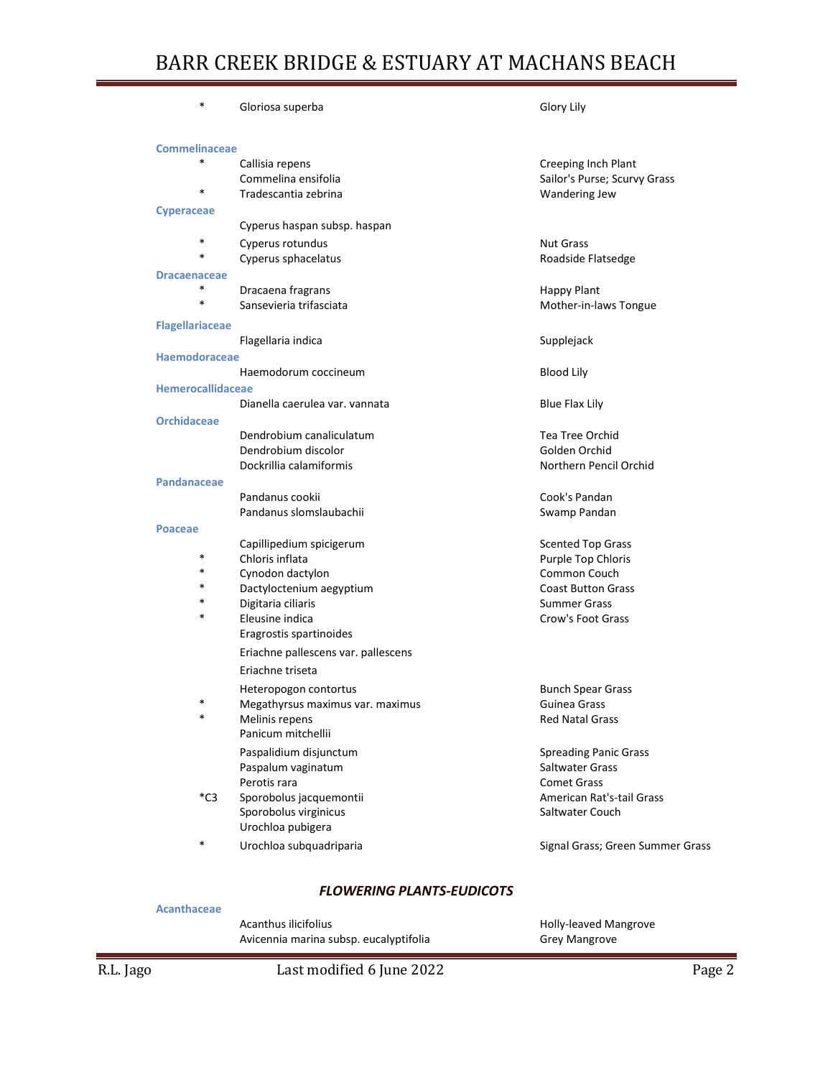| *                      | Gloriosa superba                    | Glory Lily                       |
|------------------------|-------------------------------------|----------------------------------|
| <b>Commelinaceae</b>   |                                     |                                  |
| $\ast$                 | Callisia repens                     | Creeping Inch Plant              |
|                        | Commelina ensifolia                 | Sailor's Purse; Scurvy Grass     |
| *                      | Tradescantia zebrina                | Wandering Jew                    |
| <b>Cyperaceae</b>      |                                     |                                  |
|                        | Cyperus haspan subsp. haspan        |                                  |
| *                      | Cyperus rotundus                    | <b>Nut Grass</b>                 |
| $\ast$                 | Cyperus sphacelatus                 | Roadside Flatsedge               |
| <b>Dracaenaceae</b>    |                                     |                                  |
| $\ast$                 | Dracaena fragrans                   | <b>Happy Plant</b>               |
| $\ast$                 | Sansevieria trifasciata             | Mother-in-laws Tongue            |
| <b>Flagellariaceae</b> |                                     |                                  |
|                        | Flagellaria indica                  | Supplejack                       |
| <b>Haemodoraceae</b>   |                                     |                                  |
|                        | Haemodorum coccineum                | <b>Blood Lily</b>                |
| Hemerocallidaceae      |                                     |                                  |
|                        | Dianella caerulea var. vannata      | <b>Blue Flax Lily</b>            |
| <b>Orchidaceae</b>     |                                     |                                  |
|                        | Dendrobium canaliculatum            | <b>Tea Tree Orchid</b>           |
|                        | Dendrobium discolor                 | Golden Orchid                    |
|                        | Dockrillia calamiformis             | Northern Pencil Orchid           |
| Pandanaceae            |                                     |                                  |
|                        | Pandanus cookii                     | Cook's Pandan                    |
|                        | Pandanus slomslaubachii             | Swamp Pandan                     |
| <b>Poaceae</b>         |                                     |                                  |
|                        | Capillipedium spicigerum            | <b>Scented Top Grass</b>         |
| *                      | Chloris inflata                     | Purple Top Chloris               |
| *                      | Cynodon dactylon                    | Common Couch                     |
| *                      | Dactyloctenium aegyptium            | <b>Coast Button Grass</b>        |
| *                      | Digitaria ciliaris                  | <b>Summer Grass</b>              |
| *                      | Eleusine indica                     | Crow's Foot Grass                |
|                        | Eragrostis spartinoides             |                                  |
|                        | Eriachne pallescens var. pallescens |                                  |
|                        | Eriachne triseta                    |                                  |
|                        | Heteropogon contortus               | <b>Bunch Spear Grass</b>         |
|                        | Megathyrsus maximus var. maximus    | Guinea Grass                     |
| *                      | Melinis repens                      | <b>Red Natal Grass</b>           |
|                        | Panicum mitchellii                  |                                  |
|                        | Paspalidium disjunctum              | <b>Spreading Panic Grass</b>     |
|                        | Paspalum vaginatum                  | Saltwater Grass                  |
|                        | Perotis rara                        | <b>Comet Grass</b>               |
| $^*C3$                 | Sporobolus jacquemontii             | American Rat's-tail Grass        |
|                        | Sporobolus virginicus               | Saltwater Couch                  |
|                        | Urochloa pubigera                   |                                  |
| *                      | Urochloa subquadriparia             | Signal Grass; Green Summer Grass |
|                        |                                     |                                  |

#### *FLOWERING PLANTS-EUDICOTS*

#### **Acanthaceae**

Acanthus ilicifolius **Acanthus ilicifolius Holly-leaved Mangrove** Avicennia marina subsp. eucalyptifolia Grey Mangrove

R.L. Jago Cast modified 6 June 2022 Cast 2022 Page 2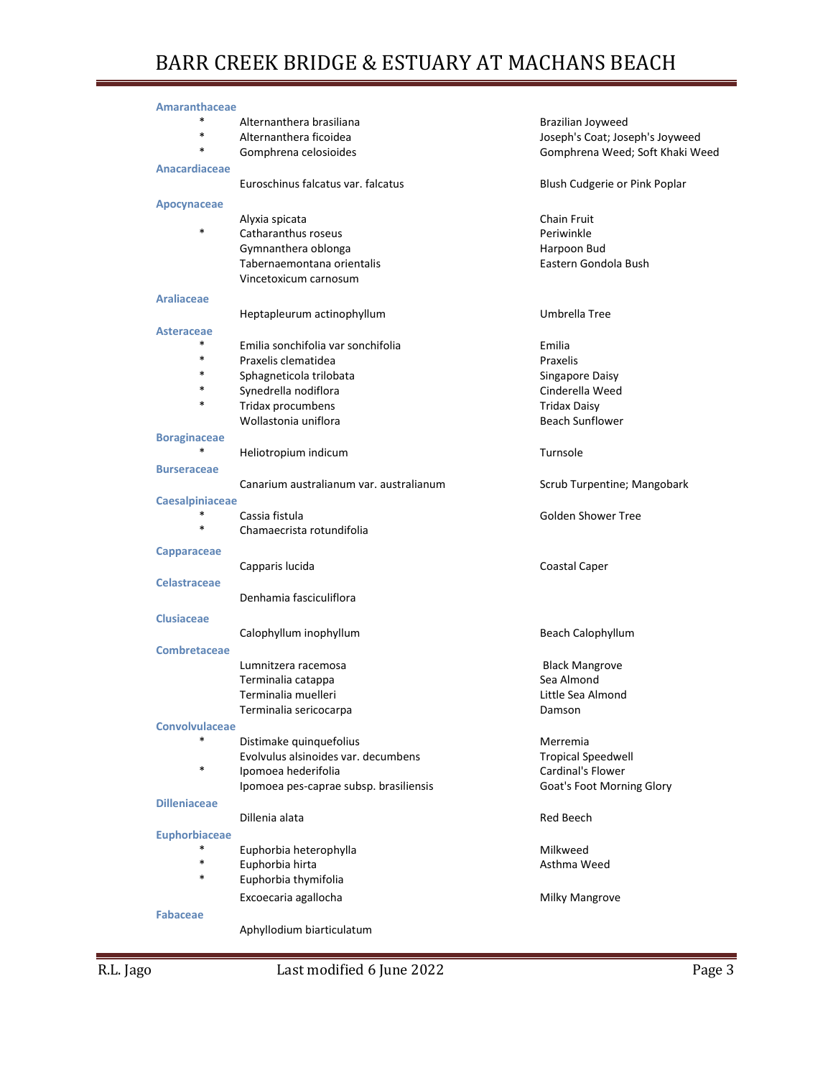| <b>Amaranthaceae</b>   |                                         |                                 |
|------------------------|-----------------------------------------|---------------------------------|
| $\ast$                 | Alternanthera brasiliana                | Brazilian Joyweed               |
| *                      | Alternanthera ficoidea                  | Joseph's Coat; Joseph's Joyweed |
| $\ast$                 | Gomphrena celosioides                   | Gomphrena Weed; Soft Khaki Weed |
| <b>Anacardiaceae</b>   |                                         |                                 |
|                        | Euroschinus falcatus var. falcatus      | Blush Cudgerie or Pink Poplar   |
| Apocynaceae            |                                         |                                 |
|                        | Alyxia spicata                          | <b>Chain Fruit</b>              |
| $\ast$                 | Catharanthus roseus                     | Periwinkle                      |
|                        | Gymnanthera oblonga                     | Harpoon Bud                     |
|                        | Tabernaemontana orientalis              | Eastern Gondola Bush            |
|                        | Vincetoxicum carnosum                   |                                 |
| <b>Araliaceae</b>      |                                         |                                 |
|                        | Heptapleurum actinophyllum              | Umbrella Tree                   |
| <b>Asteraceae</b>      |                                         |                                 |
| *                      | Emilia sonchifolia var sonchifolia      | Emilia                          |
| $\ast$                 | Praxelis clematidea                     | Praxelis                        |
| *                      | Sphagneticola trilobata                 | Singapore Daisy                 |
| $\ast$                 | Synedrella nodiflora                    | Cinderella Weed                 |
| $\ast$                 | Tridax procumbens                       | <b>Tridax Daisy</b>             |
|                        | Wollastonia uniflora                    | <b>Beach Sunflower</b>          |
| <b>Boraginaceae</b>    |                                         |                                 |
| *                      | Heliotropium indicum                    | Turnsole                        |
| <b>Burseraceae</b>     |                                         |                                 |
|                        | Canarium australianum var. australianum | Scrub Turpentine; Mangobark     |
| <b>Caesalpiniaceae</b> |                                         |                                 |
| *                      | Cassia fistula                          | Golden Shower Tree              |
| $\ast$                 | Chamaecrista rotundifolia               |                                 |
| Capparaceae            |                                         |                                 |
|                        | Capparis lucida                         | Coastal Caper                   |
| <b>Celastraceae</b>    |                                         |                                 |
|                        | Denhamia fasciculiflora                 |                                 |
| <b>Clusiaceae</b>      |                                         |                                 |
|                        | Calophyllum inophyllum                  | Beach Calophyllum               |
| <b>Combretaceae</b>    |                                         |                                 |
|                        | Lumnitzera racemosa                     | <b>Black Mangrove</b>           |
|                        | Terminalia catappa                      | Sea Almond                      |
|                        | Terminalia muelleri                     | Little Sea Almond               |
|                        | Terminalia sericocarpa                  | Damson                          |
| <b>Convolvulaceae</b>  |                                         |                                 |
| $\ast$                 | Distimake quinquefolius                 | Merremia                        |
|                        | Evolvulus alsinoides var. decumbens     | <b>Tropical Speedwell</b>       |
| *                      | Ipomoea hederifolia                     | Cardinal's Flower               |
|                        | Ipomoea pes-caprae subsp. brasiliensis  | Goat's Foot Morning Glory       |
| <b>Dilleniaceae</b>    |                                         |                                 |
|                        | Dillenia alata                          | <b>Red Beech</b>                |
| <b>Euphorbiaceae</b>   |                                         |                                 |
| *                      | Euphorbia heterophylla                  | Milkweed                        |
| $\ast$                 | Euphorbia hirta                         | Asthma Weed                     |
| $\ast$                 | Euphorbia thymifolia                    |                                 |
|                        | Excoecaria agallocha                    | <b>Milky Mangrove</b>           |
| <b>Fabaceae</b>        |                                         |                                 |
|                        | Aphyllodium biarticulatum               |                                 |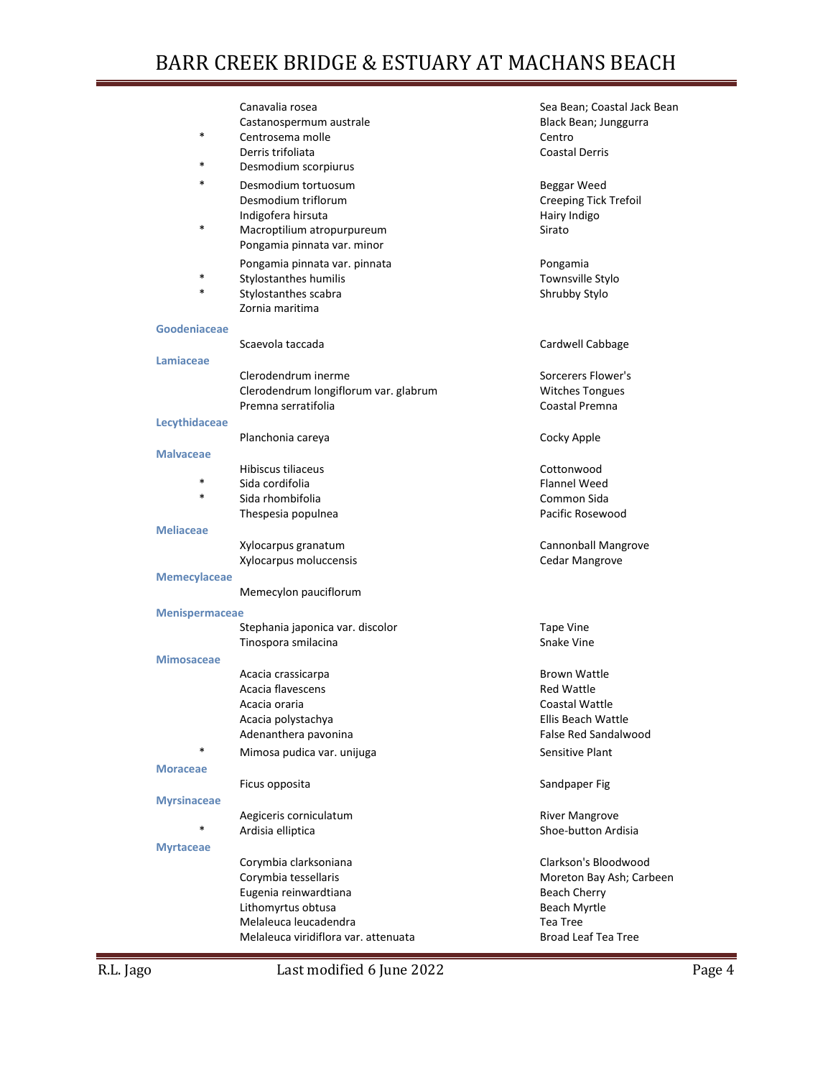| $\ast$                | Canavalia rosea<br>Castanospermum australe                                      | Sea Bean; Coastal Jack Bean<br>Black Bean; Junggurra |
|-----------------------|---------------------------------------------------------------------------------|------------------------------------------------------|
|                       | Centrosema molle<br>Derris trifoliata                                           | Centro<br><b>Coastal Derris</b>                      |
| *                     | Desmodium scorpiurus                                                            |                                                      |
| *                     | Desmodium tortuosum<br>Desmodium triflorum                                      | Beggar Weed<br><b>Creeping Tick Trefoil</b>          |
| $\ast$                | Indigofera hirsuta<br>Macroptilium atropurpureum<br>Pongamia pinnata var. minor | Hairy Indigo<br>Sirato                               |
| $\ast$<br>$\ast$      | Pongamia pinnata var. pinnata<br>Stylostanthes humilis                          | Pongamia<br>Townsville Stylo                         |
|                       | Stylostanthes scabra<br>Zornia maritima                                         | Shrubby Stylo                                        |
| Goodeniaceae          | Scaevola taccada                                                                | Cardwell Cabbage                                     |
| Lamiaceae             |                                                                                 |                                                      |
|                       | Clerodendrum inerme                                                             | Sorcerers Flower's                                   |
|                       | Clerodendrum longiflorum var. glabrum                                           | <b>Witches Tongues</b>                               |
|                       | Premna serratifolia                                                             | Coastal Premna                                       |
| Lecythidaceae         |                                                                                 |                                                      |
|                       | Planchonia careya                                                               | Cocky Apple                                          |
| <b>Malvaceae</b>      |                                                                                 |                                                      |
|                       | Hibiscus tiliaceus                                                              | Cottonwood                                           |
| *                     | Sida cordifolia                                                                 | <b>Flannel Weed</b>                                  |
| $\ast$                | Sida rhombifolia                                                                | Common Sida                                          |
|                       | Thespesia populnea                                                              | Pacific Rosewood                                     |
| <b>Meliaceae</b>      |                                                                                 |                                                      |
|                       | Xylocarpus granatum                                                             | Cannonball Mangrove                                  |
|                       | Xylocarpus moluccensis                                                          | Cedar Mangrove                                       |
|                       |                                                                                 |                                                      |
| <b>Memecylaceae</b>   |                                                                                 |                                                      |
|                       | Memecylon pauciflorum                                                           |                                                      |
| <b>Menispermaceae</b> |                                                                                 |                                                      |
|                       | Stephania japonica var. discolor                                                | Tape Vine                                            |
|                       | Tinospora smilacina                                                             | Snake Vine                                           |
| <b>Mimosaceae</b>     |                                                                                 |                                                      |
|                       | Acacia crassicarpa                                                              | Brown Wattle                                         |
|                       | Acacia flavescens                                                               | Red Wattle                                           |
|                       | Acacia oraria                                                                   | Coastal Wattle                                       |
|                       | Acacia polystachya                                                              | Ellis Beach Wattle                                   |
|                       | Adenanthera pavonina                                                            | <b>False Red Sandalwood</b>                          |
| $\ast$                | Mimosa pudica var. unijuga                                                      | Sensitive Plant                                      |
| <b>Moraceae</b>       |                                                                                 |                                                      |
|                       | Ficus opposita                                                                  | Sandpaper Fig                                        |
| <b>Myrsinaceae</b>    |                                                                                 |                                                      |
|                       | Aegiceris corniculatum                                                          | <b>River Mangrove</b>                                |
| $\ast$                | Ardisia elliptica                                                               | Shoe-button Ardisia                                  |
| <b>Myrtaceae</b>      |                                                                                 |                                                      |
|                       | Corymbia clarksoniana                                                           | Clarkson's Bloodwood                                 |
|                       | Corymbia tessellaris                                                            | Moreton Bay Ash; Carbeen                             |
|                       | Eugenia reinwardtiana                                                           | Beach Cherry                                         |
|                       | Lithomyrtus obtusa                                                              | Beach Myrtle                                         |
|                       | Melaleuca leucadendra                                                           | Tea Tree                                             |
|                       | Melaleuca viridiflora var. attenuata                                            | <b>Broad Leaf Tea Tree</b>                           |
|                       |                                                                                 |                                                      |

R.L. Jago Last modified 6 June 2022 Page 4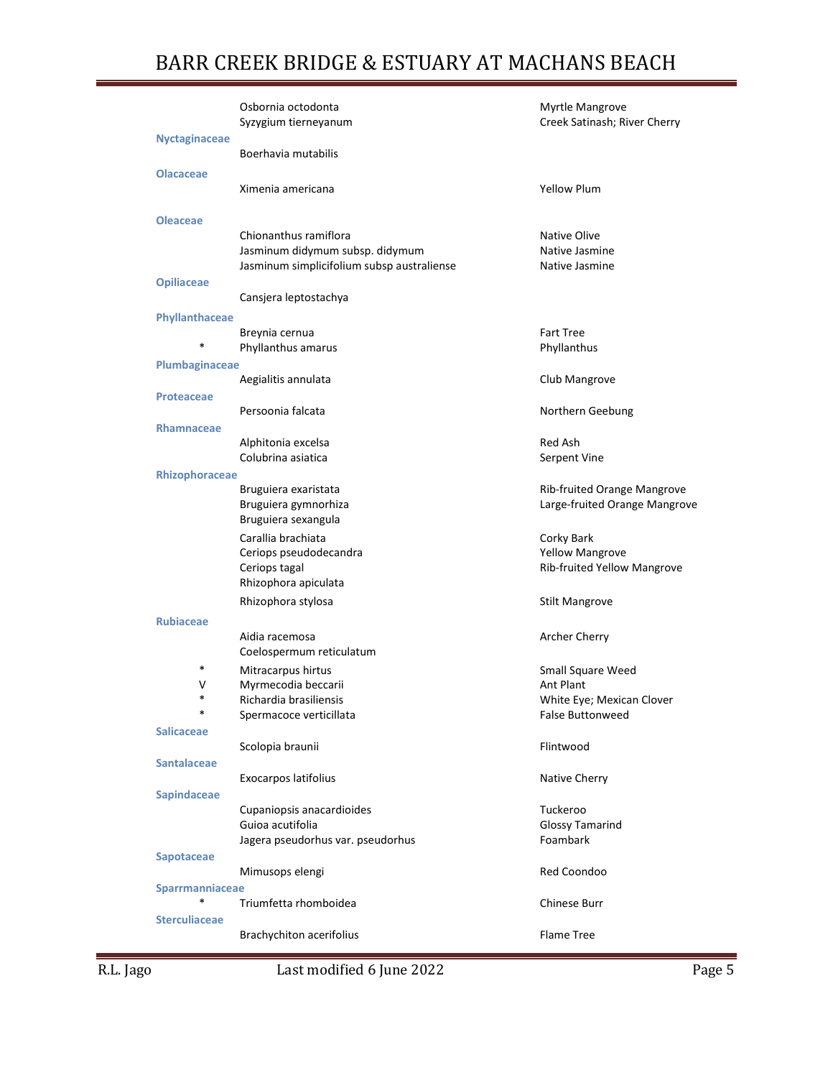|                       | Osbornia octodonta<br>Syzygium tierneyanum | Myrtle Mangrove<br>Creek Satinash; River Cherry |
|-----------------------|--------------------------------------------|-------------------------------------------------|
| <b>Nyctaginaceae</b>  | Boerhavia mutabilis                        |                                                 |
| <b>Olacaceae</b>      | Ximenia americana                          | <b>Yellow Plum</b>                              |
| <b>Oleaceae</b>       |                                            |                                                 |
|                       | Chionanthus ramiflora                      | Native Olive                                    |
|                       | Jasminum didymum subsp. didymum            | Native Jasmine                                  |
|                       | Jasminum simplicifolium subsp australiense | Native Jasmine                                  |
| <b>Opiliaceae</b>     | Cansjera leptostachya                      |                                                 |
| Phyllanthaceae        |                                            |                                                 |
|                       | Breynia cernua                             | <b>Fart Tree</b>                                |
|                       | Phyllanthus amarus                         | Phyllanthus                                     |
| Plumbaginaceae        |                                            |                                                 |
|                       | Aegialitis annulata                        | Club Mangrove                                   |
| <b>Proteaceae</b>     |                                            |                                                 |
|                       | Persoonia falcata                          | Northern Geebung                                |
| Rhamnaceae            |                                            |                                                 |
|                       | Alphitonia excelsa                         | Red Ash                                         |
|                       | Colubrina asiatica                         | Serpent Vine                                    |
| <b>Rhizophoraceae</b> |                                            |                                                 |
|                       | Bruguiera exaristata                       | Rib-fruited Orange Mangrove                     |
|                       | Bruguiera gymnorhiza                       | Large-fruited Orange Mangrove                   |
|                       | Bruguiera sexangula                        |                                                 |
|                       | Carallia brachiata                         | Corky Bark                                      |
|                       | Ceriops pseudodecandra                     | <b>Yellow Mangrove</b>                          |
|                       | Ceriops tagal                              | Rib-fruited Yellow Mangrove                     |
|                       | Rhizophora apiculata                       |                                                 |
|                       | Rhizophora stylosa                         | <b>Stilt Mangrove</b>                           |
| <b>Rubiaceae</b>      |                                            |                                                 |
|                       | Aidia racemosa                             | Archer Cherry                                   |
|                       | Coelospermum reticulatum                   |                                                 |
| *                     | Mitracarpus hirtus                         | Small Square Weed                               |
| V                     | Myrmecodia beccarii                        | Ant Plant                                       |
| *                     | Richardia brasiliensis                     | White Eye; Mexican Clover                       |
| *                     | Spermacoce verticillata                    | False Buttonweed                                |
| <b>Salicaceae</b>     |                                            |                                                 |
|                       | Scolopia braunii                           | Flintwood                                       |
| <b>Santalaceae</b>    |                                            |                                                 |
|                       | Exocarpos latifolius                       | Native Cherry                                   |
| Sapindaceae           |                                            |                                                 |
|                       | Cupaniopsis anacardioides                  | Tuckeroo                                        |
|                       | Guioa acutifolia                           | <b>Glossy Tamarind</b>                          |
|                       | Jagera pseudorhus var. pseudorhus          | Foambark                                        |
| Sapotaceae            |                                            |                                                 |
|                       | Mimusops elengi                            | Red Coondoo                                     |
| Sparrmanniaceae       |                                            |                                                 |
|                       | Triumfetta rhomboidea                      | Chinese Burr                                    |
| <b>Sterculiaceae</b>  |                                            |                                                 |
|                       | <b>Brachychiton acerifolius</b>            | Flame Tree                                      |
|                       |                                            |                                                 |